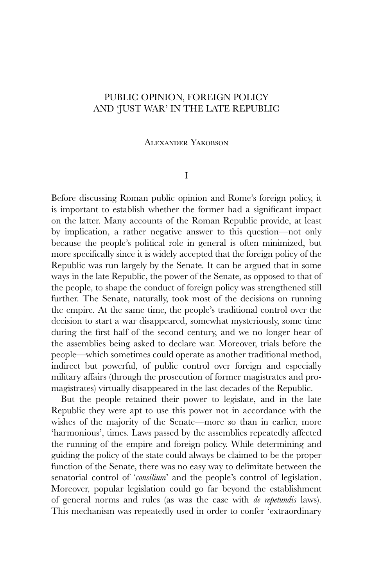## PUBLIC OPINION, FOREIGN POLICY AND 'JUST WAR' IN THE LATE REPUBLIC

Alexander Yakobson

## I

Before discussing Roman public opinion and Rome's foreign policy, it is important to establish whether the former had a significant impact on the latter. Many accounts of the Roman Republic provide, at least by implication, a rather negative answer to this question—not only because the people's political role in general is often minimized, but more specifically since it is widely accepted that the foreign policy of the Republic was run largely by the Senate. It can be argued that in some ways in the late Republic, the power of the Senate, as opposed to that of the people, to shape the conduct of foreign policy was strengthened still further. The Senate, naturally, took most of the decisions on running the empire. At the same time, the people's traditional control over the decision to start a war disappeared, somewhat mysteriously, some time during the first half of the second century, and we no longer hear of the assemblies being asked to declare war. Moreover, trials before the people—which sometimes could operate as another traditional method, indirect but powerful, of public control over foreign and especially military affairs (through the prosecution of former magistrates and promagistrates) virtually disappeared in the last decades of the Republic.

But the people retained their power to legislate, and in the late Republic they were apt to use this power not in accordance with the wishes of the majority of the Senate—more so than in earlier, more 'harmonious', times. Laws passed by the assemblies repeatedly affected the running of the empire and foreign policy. While determining and guiding the policy of the state could always be claimed to be the proper function of the Senate, there was no easy way to delimitate between the senatorial control of '*consilium*' and the people's control of legislation. Moreover, popular legislation could go far beyond the establishment of general norms and rules (as was the case with *de repetundis* laws). This mechanism was repeatedly used in order to confer 'extraordinary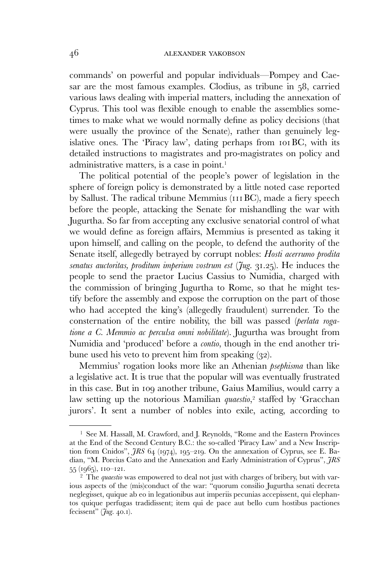commands' on powerful and popular individuals—Pompey and Caesar are the most famous examples. Clodius, as tribune in 58, carried various laws dealing with imperial matters, including the annexation of Cyprus. This tool was flexible enough to enable the assemblies sometimes to make what we would normally define as policy decisions (that were usually the province of the Senate), rather than genuinely legislative ones. The 'Piracy law', dating perhaps from 101BC, with its detailed instructions to magistrates and pro-magistrates on policy and administrative matters, is a case in point.<sup>1</sup>

The political potential of the people's power of legislation in the sphere of foreign policy is demonstrated by a little noted case reported by Sallust. The radical tribune Memmius (111BC), made a fiery speech before the people, attacking the Senate for mishandling the war with Jugurtha. So far from accepting any exclusive senatorial control of what we would define as foreign affairs, Memmius is presented as taking it upon himself, and calling on the people, to defend the authority of the Senate itself, allegedly betrayed by corrupt nobles: *Hosti acerrumo prodita senatus auctoritas, proditum imperium vostrum est* (*Jug*. 31.25). He induces the people to send the praetor Lucius Cassius to Numidia, charged with the commission of bringing Jugurtha to Rome, so that he might testify before the assembly and expose the corruption on the part of those who had accepted the king's (allegedly fraudulent) surrender. To the consternation of the entire nobility, the bill was passed (*perlata rogatione a C. Memmio ac perculsa omni nobilitate*). Jugurtha was brought from Numidia and 'produced' before a *contio*, though in the end another tribune used his veto to prevent him from speaking  $(32)$ .

Memmius' rogation looks more like an Athenian *psephisma* than like a legislative act. It is true that the popular will was eventually frustrated in this case. But in 109 another tribune, Gaius Mamilius, would carry a law setting up the notorious Mamilian *quaestio*, <sup>2</sup> staffed by 'Gracchan jurors'. It sent a number of nobles into exile, acting, according to

<sup>&</sup>lt;sup>1</sup> See M. Hassall, M. Crawford, and J. Reynolds, "Rome and the Eastern Provinces at the End of the Second Century B.C.: the so-called 'Piracy Law' and a New Inscription from Cnidos", *JRS* 64 (1974), 195–219. On the annexation of Cyprus, see E. Badian, "M. Porcius Cato and the Annexation and Early Administration of Cyprus", *JRS* 55 (1965), 110–121.

<sup>&</sup>lt;sup>2</sup> The *quaestio* was empowered to deal not just with charges of bribery, but with various aspects of the (mis)conduct of the war: "quorum consilio Jugurtha senati decreta neglegisset, quique ab eo in legationibus aut imperiis pecunias accepissent, qui elephantos quique perfugas tradidissent; item qui de pace aut bello cum hostibus pactiones fecissent" (*Jug*. 40.1).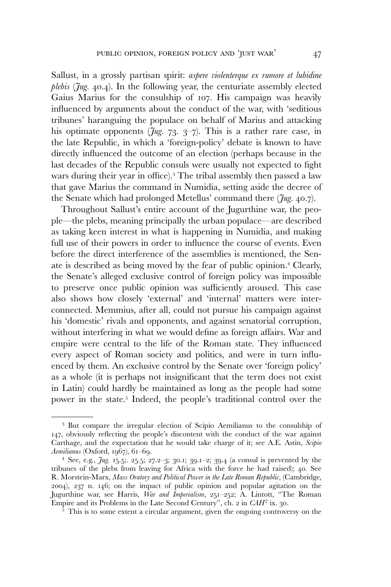Sallust, in a grossly partisan spirit: *aspere violenterque ex rumore et lubidine plebis* ( $\tilde{\tau}$ *ug*. 40.4). In the following year, the centuriate assembly elected Gaius Marius for the consulship of 107. His campaign was heavily influenced by arguments about the conduct of the war, with 'seditious tribunes' haranguing the populace on behalf of Marius and attacking his optimate opponents ( $\mathcal{J}u\mathcal{g}$ ,  $\mathcal{J}3$ ,  $\mathcal{J}3$ ). This is a rather rare case, in the late Republic, in which a 'foreign-policy' debate is known to have directly influenced the outcome of an election (perhaps because in the last decades of the Republic consuls were usually not expected to fight wars during their year in office).3 The tribal assembly then passed a law that gave Marius the command in Numidia, setting aside the decree of the Senate which had prolonged Metellus' command there (*Jug*. 40.7).

Throughout Sallust's entire account of the Jugurthine war, the people—the plebs, meaning principally the urban populace—are described as taking keen interest in what is happening in Numidia, and making full use of their powers in order to influence the course of events. Even before the direct interference of the assemblies is mentioned, the Senate is described as being moved by the fear of public opinion.4 Clearly, the Senate's alleged exclusive control of foreign policy was impossible to preserve once public opinion was sufficiently aroused. This case also shows how closely 'external' and 'internal' matters were interconnected. Memmius, after all, could not pursue his campaign against his 'domestic' rivals and opponents, and against senatorial corruption, without interfering in what we would define as foreign affairs. War and empire were central to the life of the Roman state. They influenced every aspect of Roman society and politics, and were in turn influenced by them. An exclusive control by the Senate over 'foreign policy' as a whole (it is perhaps not insignificant that the term does not exist in Latin) could hardly be maintained as long as the people had some power in the state.5 Indeed, the people's traditional control over the

<sup>3</sup> But compare the irregular election of Scipio Aemilianus to the consulship of 147, obviously reflecting the people's discontent with the conduct of the war against Carthage, and the expectation that he would take charge of it; see A.E. Astin, *Scipio Aemilianus* (Oxford, 1967), 61–69.

<sup>4</sup> See, e.g., *Jug*. 15.5;. 25.5; 27.2–3; 30.1; 39.1–2; 39.4 (a consul is prevented by the tribunes of the plebs from leaving for Africa with the force he had raised); 40. See R. Morstein-Marx, *Mass Oratory and Political Power in the Late Roman Republic*, (Cambridge, 2004), 237 n. 146; on the impact of public opinion and popular agitation on the Jugurthine war, see Harris, *War and Imperialism*, 251–252; A. Lintott, "The Roman Empire and its Problems in the Late Second Century", ch. 2 in *CAH*<sup>2</sup> ix. 30.

<sup>5</sup> This is to some extent a circular argument, given the ongoing controversy on the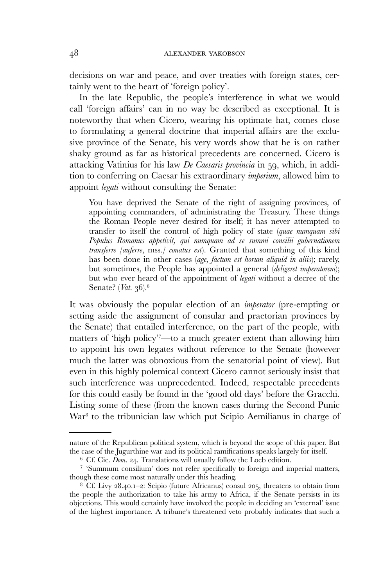decisions on war and peace, and over treaties with foreign states, certainly went to the heart of 'foreign policy'.

In the late Republic, the people's interference in what we would call 'foreign affairs' can in no way be described as exceptional. It is noteworthy that when Cicero, wearing his optimate hat, comes close to formulating a general doctrine that imperial affairs are the exclusive province of the Senate, his very words show that he is on rather shaky ground as far as historical precedents are concerned. Cicero is attacking Vatinius for his law *De Caesaris provincia* in 59, which, in addition to conferring on Caesar his extraordinary *imperium*, allowed him to appoint *legati* without consulting the Senate:

You have deprived the Senate of the right of assigning provinces, of appointing commanders, of administrating the Treasury. These things the Roman People never desired for itself; it has never attempted to transfer to itself the control of high policy of state (*quae numquam sibi Populus Romanus appetivit, qui numquam ad se summi consilii gubernationem transferre [auferre*, mss.*] conatus est*). Granted that something of this kind has been done in other cases (*age, factum est horum aliquid in aliis*); rarely, but sometimes, the People has appointed a general (*deligeret imperatorem*); but who ever heard of the appointment of *legati* without a decree of the Senate? (*Vat*. 36).6

It was obviously the popular election of an *imperator* (pre-empting or setting aside the assignment of consular and praetorian provinces by the Senate) that entailed interference, on the part of the people, with matters of 'high policy'7 —to a much greater extent than allowing him to appoint his own legates without reference to the Senate (however much the latter was obnoxious from the senatorial point of view). But even in this highly polemical context Cicero cannot seriously insist that such interference was unprecedented. Indeed, respectable precedents for this could easily be found in the 'good old days' before the Gracchi. Listing some of these (from the known cases during the Second Punic War8 to the tribunician law which put Scipio Aemilianus in charge of

nature of the Republican political system, which is beyond the scope of this paper. But the case of the Jugurthine war and its political ramifications speaks largely for itself.

<sup>6</sup> Cf. Cic. *Dom*. 24. Translations will usually follow the Loeb edition.

<sup>7</sup> 'Summum consilium' does not refer specifically to foreign and imperial matters, though these come most naturally under this heading.

<sup>8</sup> Cf. Livy 28.40.1–2: Scipio (future Africanus) consul 205, threatens to obtain from the people the authorization to take his army to Africa, if the Senate persists in its objections. This would certainly have involved the people in deciding an 'external' issue of the highest importance. A tribune's threatened veto probably indicates that such a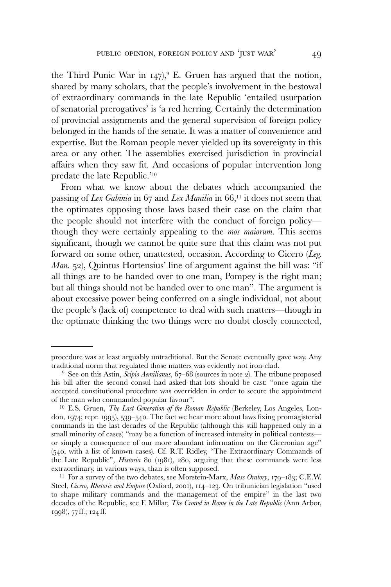the Third Punic War in  $147$ ,<sup>9</sup> E. Gruen has argued that the notion, shared by many scholars, that the people's involvement in the bestowal of extraordinary commands in the late Republic 'entailed usurpation of senatorial prerogatives' is 'a red herring. Certainly the determination of provincial assignments and the general supervision of foreign policy belonged in the hands of the senate. It was a matter of convenience and expertise. But the Roman people never yielded up its sovereignty in this area or any other. The assemblies exercised jurisdiction in provincial affairs when they saw fit. And occasions of popular intervention long predate the late Republic.'10

From what we know about the debates which accompanied the passing of *Lex Gabinia* in 67 and *Lex Manilia* in 66, <sup>11</sup> it does not seem that the optimates opposing those laws based their case on the claim that the people should not interfere with the conduct of foreign policy though they were certainly appealing to the *mos maiorum*. This seems significant, though we cannot be quite sure that this claim was not put forward on some other, unattested, occasion. According to Cicero (*Leg. Man.* 52), Quintus Hortensius' line of argument against the bill was: "if all things are to be handed over to one man, Pompey is the right man; but all things should not be handed over to one man". The argument is about excessive power being conferred on a single individual, not about the people's (lack of) competence to deal with such matters—though in the optimate thinking the two things were no doubt closely connected,

procedure was at least arguably untraditional. But the Senate eventually gave way. Any traditional norm that regulated those matters was evidently not iron-clad.

<sup>9</sup> See on this Astin, *Scipio Aemilianus*, 67–68 (sources in note 2). The tribune proposed his bill after the second consul had asked that lots should be cast: "once again the accepted constitutional procedure was overridden in order to secure the appointment of the man who commanded popular favour".

<sup>10</sup> E.S. Gruen, *The Last Generation of the Roman Republic* (Berkeley, Los Angeles, London, 1974; repr. 1995), 539–540. The fact we hear more about laws fixing promagisterial commands in the last decades of the Republic (although this still happened only in a small minority of cases) "may be a function of increased intensity in political contests or simply a consequence of our more abundant information on the Ciceronian age" (540, with a list of known cases). Cf. R.T. Ridley, "The Extraordinary Commands of the Late Republic", *Historia* 80 (1981), 280, arguing that these commands were less extraordinary, in various ways, than is often supposed.

<sup>11</sup> For a survey of the two debates, see Morstein-Marx, *Mass Oratory*, 179–183; C.E.W. Steel, *Cicero, Rhetoric and Empire* (Oxford, 2001), 114–123. On tribunician legislation "used to shape military commands and the management of the empire" in the last two decades of the Republic, see F. Millar, *The Crowd in Rome in the Late Republic* (Ann Arbor, 1998), 77 ff.; 124 ff.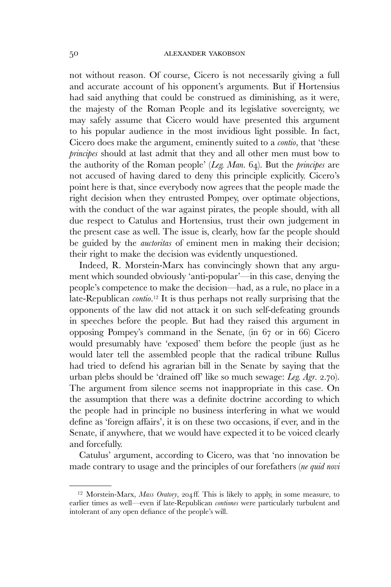not without reason. Of course, Cicero is not necessarily giving a full and accurate account of his opponent's arguments. But if Hortensius had said anything that could be construed as diminishing, as it were, the majesty of the Roman People and its legislative sovereignty, we may safely assume that Cicero would have presented this argument to his popular audience in the most invidious light possible. In fact, Cicero does make the argument, eminently suited to a *contio*, that 'these *principes* should at last admit that they and all other men must bow to the authority of the Roman people' (*Leg. Man*. 64). But the *principes* are not accused of having dared to deny this principle explicitly. Cicero's point here is that, since everybody now agrees that the people made the right decision when they entrusted Pompey, over optimate objections, with the conduct of the war against pirates, the people should, with all due respect to Catulus and Hortensius, trust their own judgement in the present case as well. The issue is, clearly, how far the people should be guided by the *auctoritas* of eminent men in making their decision; their right to make the decision was evidently unquestioned.

Indeed, R. Morstein-Marx has convincingly shown that any argument which sounded obviously 'anti-popular'—in this case, denying the people's competence to make the decision—had, as a rule, no place in a late-Republican *contio*. <sup>12</sup> It is thus perhaps not really surprising that the opponents of the law did not attack it on such self-defeating grounds in speeches before the people. But had they raised this argument in opposing Pompey's command in the Senate, (in 67 or in 66) Cicero would presumably have 'exposed' them before the people (just as he would later tell the assembled people that the radical tribune Rullus had tried to defend his agrarian bill in the Senate by saying that the urban plebs should be 'drained off' like so much sewage: *Leg. Agr*. 2.70). The argument from silence seems not inappropriate in this case. On the assumption that there was a definite doctrine according to which the people had in principle no business interfering in what we would define as 'foreign affairs', it is on these two occasions, if ever, and in the Senate, if anywhere, that we would have expected it to be voiced clearly and forcefully.

Catulus' argument, according to Cicero, was that 'no innovation be made contrary to usage and the principles of our forefathers (*ne quid novi*

<sup>&</sup>lt;sup>12</sup> Morstein-Marx, *Mass Oratory*, 204ff. This is likely to apply, in some measure, to earlier times as well—even if late-Republican *contiones* were particularly turbulent and intolerant of any open defiance of the people's will.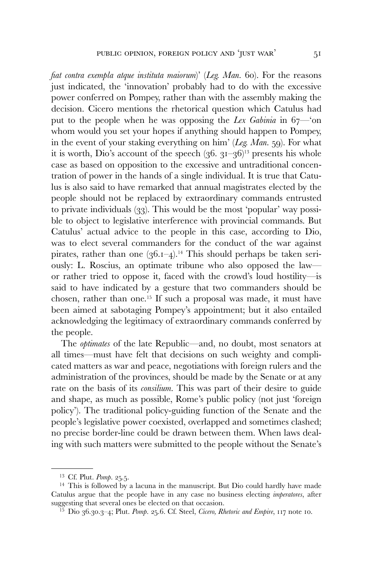*fiat contra exempla atque instituta maiorum*)' (*Leg. Man*. 60). For the reasons just indicated, the 'innovation' probably had to do with the excessive power conferred on Pompey, rather than with the assembly making the decision. Cicero mentions the rhetorical question which Catulus had put to the people when he was opposing the *Lex Gabinia* in 67—'on whom would you set your hopes if anything should happen to Pompey, in the event of your staking everything on him' (*Leg. Man*. 59). For what it is worth, Dio's account of the speech (36. 31–36) <sup>13</sup> presents his whole case as based on opposition to the excessive and untraditional concentration of power in the hands of a single individual. It is true that Catulus is also said to have remarked that annual magistrates elected by the people should not be replaced by extraordinary commands entrusted to private individuals (33). This would be the most 'popular' way possible to object to legislative interference with provincial commands. But Catulus' actual advice to the people in this case, according to Dio, was to elect several commanders for the conduct of the war against pirates, rather than one  $(36.1-4).^{14}$  This should perhaps be taken seriously: L. Roscius, an optimate tribune who also opposed the law or rather tried to oppose it, faced with the crowd's loud hostility—is said to have indicated by a gesture that two commanders should be chosen, rather than one.15 If such a proposal was made, it must have been aimed at sabotaging Pompey's appointment; but it also entailed acknowledging the legitimacy of extraordinary commands conferred by the people.

The *optimates* of the late Republic—and, no doubt, most senators at all times—must have felt that decisions on such weighty and complicated matters as war and peace, negotiations with foreign rulers and the administration of the provinces, should be made by the Senate or at any rate on the basis of its *consilium*. This was part of their desire to guide and shape, as much as possible, Rome's public policy (not just 'foreign policy'). The traditional policy-guiding function of the Senate and the people's legislative power coexisted, overlapped and sometimes clashed; no precise border-line could be drawn between them. When laws dealing with such matters were submitted to the people without the Senate's

<sup>13</sup> Cf. Plut. *Pomp*. 25.5.

<sup>&</sup>lt;sup>14</sup> This is followed by a lacuna in the manuscript. But Dio could hardly have made Catulus argue that the people have in any case no business electing *imperatores*, after suggesting that several ones be elected on that occasion.

<sup>15</sup> Dio 36.30.3–4; Plut. *Pomp*. 25.6. Cf. Steel, *Cicero, Rhetoric and Empire*, 117 note 10.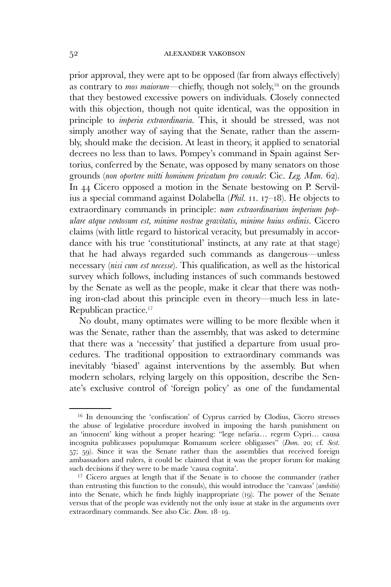prior approval, they were apt to be opposed (far from always effectively) as contrary to *mos maiorum*—chiefly, though not solely,16 on the grounds that they bestowed excessive powers on individuals. Closely connected with this objection, though not quite identical, was the opposition in principle to *imperia extraordinaria*. This, it should be stressed, was not simply another way of saying that the Senate, rather than the assembly, should make the decision. At least in theory, it applied to senatorial decrees no less than to laws. Pompey's command in Spain against Sertorius, conferred by the Senate, was opposed by many senators on those grounds (*non oportere mitti hominem privatum pro consule*: Cic. *Leg. Man*. 62). In 44 Cicero opposed a motion in the Senate bestowing on P. Servilius a special command against Dolabella (*Phil*. 11. 17–18). He objects to extraordinary commands in principle: *nam extraordinarium imperium populare atque ventosum est, minime nostrae gravitatis, minime huius ordinis*. Cicero claims (with little regard to historical veracity, but presumably in accordance with his true 'constitutional' instincts, at any rate at that stage) that he had always regarded such commands as dangerous—unless necessary (*nisi cum est necesse*). This qualification, as well as the historical survey which follows, including instances of such commands bestowed by the Senate as well as the people, make it clear that there was nothing iron-clad about this principle even in theory—much less in late-Republican practice.17

No doubt, many optimates were willing to be more flexible when it was the Senate, rather than the assembly, that was asked to determine that there was a 'necessity' that justified a departure from usual procedures. The traditional opposition to extraordinary commands was inevitably 'biased' against interventions by the assembly. But when modern scholars, relying largely on this opposition, describe the Senate's exclusive control of 'foreign policy' as one of the fundamental

<sup>16</sup> In denouncing the 'confiscation' of Cyprus carried by Clodius, Cicero stresses the abuse of legislative procedure involved in imposing the harsh punishment on an 'innocent' king without a proper hearing: "lege nefaria… regem Cypri… causa incognita publicasses populumque Romanum scelere obligasses" (*Dom*. 20; cf. *Sest*. 57; 59). Since it was the Senate rather than the assemblies that received foreign ambassadors and rulers, it could be claimed that it was the proper forum for making such decisions if they were to be made 'causa cognita'.

<sup>&</sup>lt;sup>17</sup> Cicero argues at length that if the Senate is to choose the commander (rather than entrusting this function to the consuls), this would introduce the 'canvass' (*ambitio*) into the Senate, which he finds highly inappropriate (19). The power of the Senate versus that of the people was evidently not the only issue at stake in the arguments over extraordinary commands. See also Cic. *Dom*. 18–19.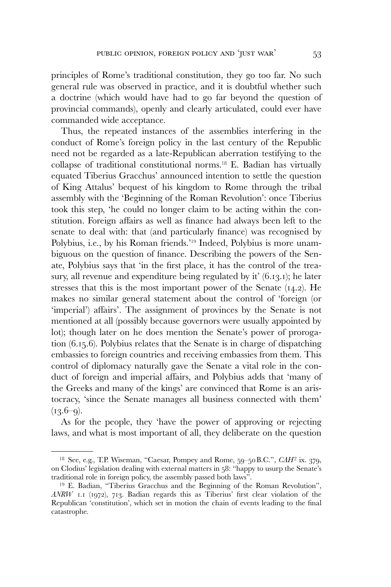principles of Rome's traditional constitution, they go too far. No such general rule was observed in practice, and it is doubtful whether such a doctrine (which would have had to go far beyond the question of provincial commands), openly and clearly articulated, could ever have commanded wide acceptance.

Thus, the repeated instances of the assemblies interfering in the conduct of Rome's foreign policy in the last century of the Republic need not be regarded as a late-Republican aberration testifying to the collapse of traditional constitutional norms.18 E. Badian has virtually equated Tiberius Gracchus' announced intention to settle the question of King Attalus' bequest of his kingdom to Rome through the tribal assembly with the 'Beginning of the Roman Revolution': once Tiberius took this step, 'he could no longer claim to be acting within the constitution. Foreign affairs as well as finance had always been left to the senate to deal with: that (and particularly finance) was recognised by Polybius, i.e., by his Roman friends.'19 Indeed, Polybius is more unambiguous on the question of finance. Describing the powers of the Senate, Polybius says that 'in the first place, it has the control of the treasury, all revenue and expenditure being regulated by it' (6.13.1); he later stresses that this is the most important power of the Senate (14.2). He makes no similar general statement about the control of 'foreign (or 'imperial') affairs'. The assignment of provinces by the Senate is not mentioned at all (possibly because governors were usually appointed by lot); though later on he does mention the Senate's power of prorogation (6.15.6). Polybius relates that the Senate is in charge of dispatching embassies to foreign countries and receiving embassies from them. This control of diplomacy naturally gave the Senate a vital role in the conduct of foreign and imperial affairs, and Polybius adds that 'many of the Greeks and many of the kings' are convinced that Rome is an aristocracy, 'since the Senate manages all business connected with them'  $(13.6–9)$ .

As for the people, they 'have the power of approving or rejecting laws, and what is most important of all, they deliberate on the question

<sup>18</sup> See, e.g., T.P. Wiseman, "Caesar, Pompey and Rome, 59–50B.C.", *CAH*<sup>2</sup> ix. 379, on Clodius' legislation dealing with external matters in 58: "happy to usurp the Senate's traditional role in foreign policy, the assembly passed both laws".

<sup>19</sup> E. Badian, "Tiberius Gracchus and the Beginning of the Roman Revolution", *ANRW* 1.1 (1972), 713. Badian regards this as Tiberius' first clear violation of the Republican 'constitution', which set in motion the chain of events leading to the final catastrophe.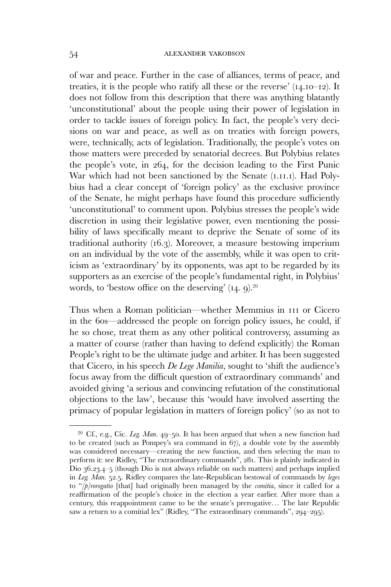of war and peace. Further in the case of alliances, terms of peace, and treaties, it is the people who ratify all these or the reverse' (14.10–12). It does not follow from this description that there was anything blatantly 'unconstitutional' about the people using their power of legislation in order to tackle issues of foreign policy. In fact, the people's very decisions on war and peace, as well as on treaties with foreign powers, were, technically, acts of legislation. Traditionally, the people's votes on those matters were preceded by senatorial decrees. But Polybius relates the people's vote, in 264, for the decision leading to the First Punic War which had not been sanctioned by the Senate (1.11.1). Had Polybius had a clear concept of 'foreign policy' as the exclusive province of the Senate, he might perhaps have found this procedure sufficiently 'unconstitutional' to comment upon. Polybius stresses the people's wide discretion in using their legislative power, even mentioning the possibility of laws specifically meant to deprive the Senate of some of its traditional authority (16.3). Moreover, a measure bestowing imperium on an individual by the vote of the assembly, while it was open to criticism as 'extraordinary' by its opponents, was apt to be regarded by its supporters as an exercise of the people's fundamental right, in Polybius' words, to 'bestow office on the deserving'  $(14.9)^{20}$ 

Thus when a Roman politician—whether Memmius in 111 or Cicero in the 60s—addressed the people on foreign policy issues, he could, if he so chose, treat them as any other political controversy, assuming as a matter of course (rather than having to defend explicitly) the Roman People's right to be the ultimate judge and arbiter. It has been suggested that Cicero, in his speech *De Lege Manilia*, sought to 'shift the audience's focus away from the difficult question of extraordinary commands' and avoided giving 'a serious and convincing refutation of the constitutional objections to the law', because this 'would have involved asserting the primacy of popular legislation in matters of foreign policy' (so as not to

<sup>20</sup> Cf., e.g., Cic. *Leg. Man*. 49–50. It has been argued that when a new function had to be created (such as Pompey's sea command in  $67$ ), a double vote by the assembly was considered necessary—creating the new function, and then selecting the man to perform it: see Ridley, "The extraordinary commands", 281. This is plainly indicated in Dio 36.23.4–5 (though Dio is not always reliable on such matters) and perhaps implied in *Leg. Man*. 52.5. Ridley compares the late-Republican bestowal of commands by *leges* to "*[p]rorogatio* [that] had originally been managed by the *comitia*, since it called for a reaffirmation of the people's choice in the election a year earlier. After more than a century, this reappointment came to be the senate's prerogative… The late Republic saw a return to a comitial lex" (Ridley, "The extraordinary commands", 294–295).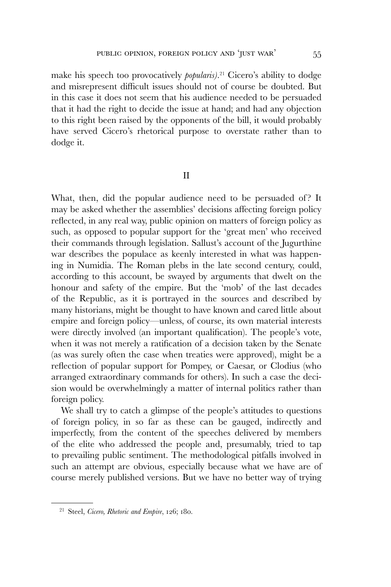make his speech too provocatively *popularis)*. <sup>21</sup> Cicero's ability to dodge and misrepresent difficult issues should not of course be doubted. But in this case it does not seem that his audience needed to be persuaded that it had the right to decide the issue at hand; and had any objection to this right been raised by the opponents of the bill, it would probably have served Cicero's rhetorical purpose to overstate rather than to dodge it.

II

What, then, did the popular audience need to be persuaded of? It may be asked whether the assemblies' decisions affecting foreign policy reflected, in any real way, public opinion on matters of foreign policy as such, as opposed to popular support for the 'great men' who received their commands through legislation. Sallust's account of the Jugurthine war describes the populace as keenly interested in what was happening in Numidia. The Roman plebs in the late second century, could, according to this account, be swayed by arguments that dwelt on the honour and safety of the empire. But the 'mob' of the last decades of the Republic, as it is portrayed in the sources and described by many historians, might be thought to have known and cared little about empire and foreign policy—unless, of course, its own material interests were directly involved (an important qualification). The people's vote, when it was not merely a ratification of a decision taken by the Senate (as was surely often the case when treaties were approved), might be a reflection of popular support for Pompey, or Caesar, or Clodius (who arranged extraordinary commands for others). In such a case the decision would be overwhelmingly a matter of internal politics rather than foreign policy.

We shall try to catch a glimpse of the people's attitudes to questions of foreign policy, in so far as these can be gauged, indirectly and imperfectly, from the content of the speeches delivered by members of the elite who addressed the people and, presumably, tried to tap to prevailing public sentiment. The methodological pitfalls involved in such an attempt are obvious, especially because what we have are of course merely published versions. But we have no better way of trying

<sup>21</sup> Steel, *Cicero, Rhetoric and Empire*, 126; 180.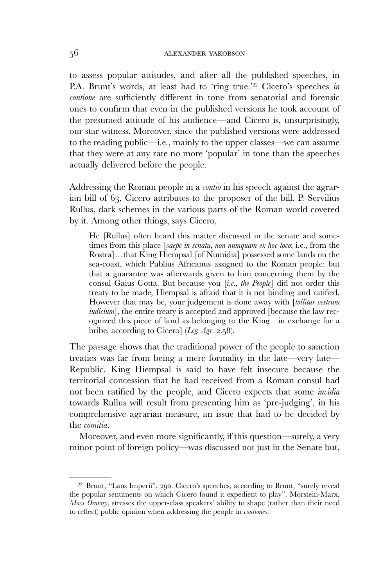to assess popular attitudes, and after all the published speeches, in P.A. Brunt's words, at least had to 'ring true.'<sup>22</sup> Cicero's speeches *in contione* are sufficiently different in tone from senatorial and forensic ones to confirm that even in the published versions he took account of the presumed attitude of his audience—and Cicero is, unsurprisingly, our star witness. Moreover, since the published versions were addressed to the reading public—i.e., mainly to the upper classes—we can assume that they were at any rate no more 'popular' in tone than the speeches actually delivered before the people.

Addressing the Roman people in a *contio* in his speech against the agrarian bill of 63, Cicero attributes to the proposer of the bill, P. Servilius Rullus, dark schemes in the various parts of the Roman world covered by it. Among other things, says Cicero,

He [Rullus] often heard this matter discussed in the senate and sometimes from this place [*saepe in senatu, non numquam ex hoc loco*; i.e., from the Rostra]…that King Hiempsal [of Numidia] possessed some lands on the sea-coast, which Publius Africanus assigned to the Roman people: but that a guarantee was afterwards given to him concerning them by the consul Gaius Cotta. But because you [*i.e., the People*] did not order this treaty to be made, Hiempsal is afraid that it is not binding and ratified. However that may be, your judgement is done away with [*tollitur vestrum iudicium*], the entire treaty is accepted and approved [because the law recognized this piece of land as belonging to the King—in exchange for a bribe, according to Cicero] (*Leg. Agr*. 2.58).

The passage shows that the traditional power of the people to sanction treaties was far from being a mere formality in the late—very late— Republic. King Hiempsal is said to have felt insecure because the territorial concession that he had received from a Roman consul had not been ratified by the people, and Cicero expects that some *invidia* towards Rullus will result from presenting him as 'pre-judging', in his comprehensive agrarian measure, an issue that had to be decided by the *comitia*.

Moreover, and even more significantly, if this question—surely, a very minor point of foreign policy—was discussed not just in the Senate but,

<sup>22</sup> Brunt, "Laus Imperii", 290. Cicero's speeches, according to Brunt, "surely reveal the popular sentiments on which Cicero found it expedient to play". Morstein-Marx, *Mass Oratory*, stresses the upper-class speakers' ability to shape (rather than their need to reflect) public opinion when addressing the people in *contiones*.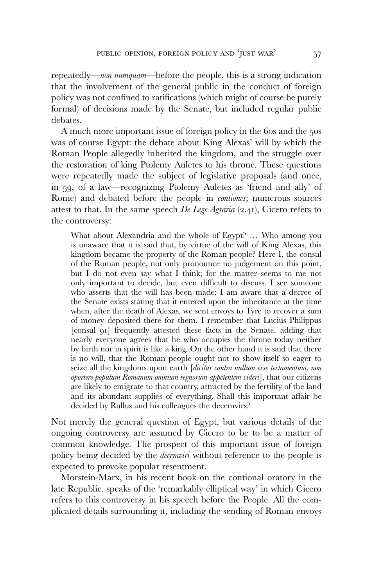repeatedly—*non numquam*—before the people, this is a strong indication that the involvement of the general public in the conduct of foreign policy was not confined to ratifications (which might of course be purely formal) of decisions made by the Senate, but included regular public debates.

A much more important issue of foreign policy in the 60s and the 50s was of course Egypt: the debate about King Alexas' will by which the Roman People allegedly inherited the kingdom, and the struggle over the restoration of king Ptolemy Auletes to his throne. These questions were repeatedly made the subject of legislative proposals (and once, in 59, of a law—recognizing Ptolemy Auletes as 'friend and ally' of Rome) and debated before the people in *contiones*; numerous sources attest to that. In the same speech *De Lege Agraria* (2.41), Cicero refers to the controversy:

What about Alexandria and the whole of Egypt? … Who among you is unaware that it is said that, by virtue of the will of King Alexas, this kingdom became the property of the Roman people? Here I, the consul of the Roman people, not only pronounce no judgement on this point, but I do not even say what I think; for the matter seems to me not only important to decide, but even difficult to discuss. I see someone who asserts that the will has been made; I am aware that a decree of the Senate exists stating that it entered upon the inheritance at the time when, after the death of Alexas, we sent envoys to Tyre to recover a sum of money deposited there for them. I remember that Lucius Philippus [consul 91] frequently attested these facts in the Senate, adding that nearly everyone agrees that he who occupies the throne today neither by birth nor in spirit is like a king. On the other hand it is said that there is no will, that the Roman people ought not to show itself so eager to seize all the kingdoms upon earth [*dicitur contra nullum esse testamentum, non oportere populum Romanum omnium regnorum appetentem videri*], that our citizens are likely to emigrate to that country, attracted by the fertility of the land and its abundant supplies of everything. Shall this important affair be decided by Rullus and his colleagues the decemvirs?

Not merely the general question of Egypt, but various details of the ongoing controversy are assumed by Cicero to be to be a matter of common knowledge. The prospect of this important issue of foreign policy being decided by the *decemviri* without reference to the people is expected to provoke popular resentment.

Morstein-Marx, in his recent book on the contional oratory in the late Republic, speaks of the 'remarkably elliptical way' in which Cicero refers to this controversy in his speech before the People. All the complicated details surrounding it, including the sending of Roman envoys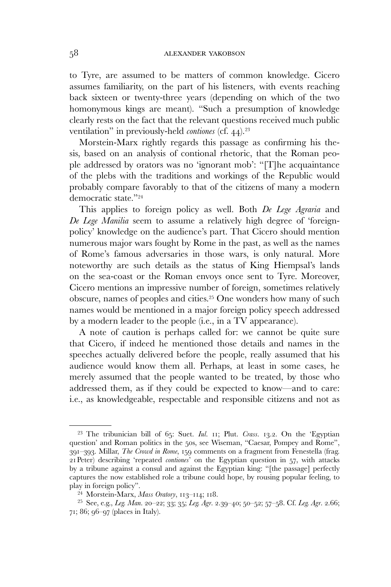to Tyre, are assumed to be matters of common knowledge. Cicero assumes familiarity, on the part of his listeners, with events reaching back sixteen or twenty-three years (depending on which of the two homonymous kings are meant). "Such a presumption of knowledge clearly rests on the fact that the relevant questions received much public ventilation" in previously-held *contiones* (cf. 44).<sup>23</sup>

Morstein-Marx rightly regards this passage as confirming his thesis, based on an analysis of contional rhetoric, that the Roman people addressed by orators was no 'ignorant mob': "[T]he acquaintance of the plebs with the traditions and workings of the Republic would probably compare favorably to that of the citizens of many a modern democratic state."24

This applies to foreign policy as well. Both *De Lege Agraria* and *De Lege Manilia* seem to assume a relatively high degree of 'foreignpolicy' knowledge on the audience's part. That Cicero should mention numerous major wars fought by Rome in the past, as well as the names of Rome's famous adversaries in those wars, is only natural. More noteworthy are such details as the status of King Hiempsal's lands on the sea-coast or the Roman envoys once sent to Tyre. Moreover, Cicero mentions an impressive number of foreign, sometimes relatively obscure, names of peoples and cities.25 One wonders how many of such names would be mentioned in a major foreign policy speech addressed by a modern leader to the people (i.e., in a TV appearance).

A note of caution is perhaps called for: we cannot be quite sure that Cicero, if indeed he mentioned those details and names in the speeches actually delivered before the people, really assumed that his audience would know them all. Perhaps, at least in some cases, he merely assumed that the people wanted to be treated, by those who addressed them, as if they could be expected to know—and to care: i.e., as knowledgeable, respectable and responsible citizens and not as

<sup>23</sup> The tribunician bill of 65: Suet. *Iul*. 11; Plut. *Crass*. 13.2. On the 'Egyptian question' and Roman politics in the 50s, see Wiseman, "Caesar, Pompey and Rome", 391–393. Millar, *The Crowd in Rome*, 159 comments on a fragment from Fenestella (frag. 21Peter) describing 'repeated *contiones*' on the Egyptian question in 57, with attacks by a tribune against a consul and against the Egyptian king: "[the passage] perfectly captures the now established role a tribune could hope, by rousing popular feeling, to play in foreign policy".

<sup>24</sup> Morstein-Marx, *Mass Oratory*, 113–114; 118.

<sup>25</sup> See, e.g., *Leg. Man*. 20–22; 33; 35; *Leg. Agr*. 2.39–40; 50–52; 57–58. Cf. *Leg. Agr*. 2.66; 71; 86; 96–97 (places in Italy).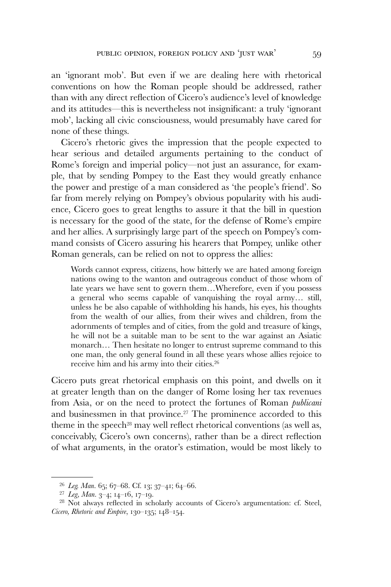an 'ignorant mob'. But even if we are dealing here with rhetorical conventions on how the Roman people should be addressed, rather than with any direct reflection of Cicero's audience's level of knowledge and its attitudes—this is nevertheless not insignificant: a truly 'ignorant mob', lacking all civic consciousness, would presumably have cared for none of these things.

Cicero's rhetoric gives the impression that the people expected to hear serious and detailed arguments pertaining to the conduct of Rome's foreign and imperial policy—not just an assurance, for example, that by sending Pompey to the East they would greatly enhance the power and prestige of a man considered as 'the people's friend'. So far from merely relying on Pompey's obvious popularity with his audience, Cicero goes to great lengths to assure it that the bill in question is necessary for the good of the state, for the defense of Rome's empire and her allies. A surprisingly large part of the speech on Pompey's command consists of Cicero assuring his hearers that Pompey, unlike other Roman generals, can be relied on not to oppress the allies:

Words cannot express, citizens, how bitterly we are hated among foreign nations owing to the wanton and outrageous conduct of those whom of late years we have sent to govern them…Wherefore, even if you possess a general who seems capable of vanquishing the royal army… still, unless he be also capable of withholding his hands, his eyes, his thoughts from the wealth of our allies, from their wives and children, from the adornments of temples and of cities, from the gold and treasure of kings, he will not be a suitable man to be sent to the war against an Asiatic monarch… Then hesitate no longer to entrust supreme command to this one man, the only general found in all these years whose allies rejoice to receive him and his army into their cities.26

Cicero puts great rhetorical emphasis on this point, and dwells on it at greater length than on the danger of Rome losing her tax revenues from Asia, or on the need to protect the fortunes of Roman *publicani* and businessmen in that province.27 The prominence accorded to this theme in the speech<sup>28</sup> may well reflect rhetorical conventions (as well as, conceivably, Cicero's own concerns), rather than be a direct reflection of what arguments, in the orator's estimation, would be most likely to

<sup>26</sup> *Leg. Man*. 65; 67–68. Cf. 13; 37–41; 64–66.

<sup>27</sup> *Leg, Man*. 3–4; 14–16, 17–19.

<sup>28</sup> Not always reflected in scholarly accounts of Cicero's argumentation: cf. Steel, *Cicero, Rhetoric and Empire*, 130–135; 148–154.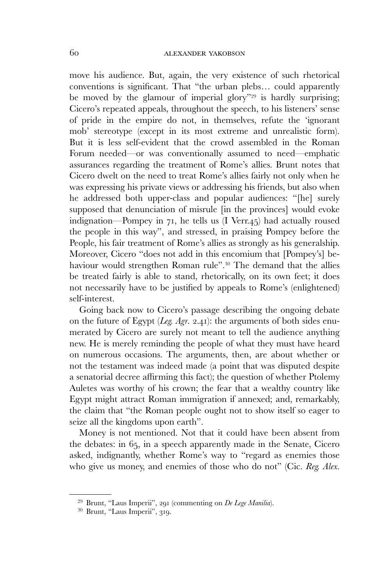move his audience. But, again, the very existence of such rhetorical conventions is significant. That "the urban plebs… could apparently be moved by the glamour of imperial glory"<sup>29</sup> is hardly surprising; Cicero's repeated appeals, throughout the speech, to his listeners' sense of pride in the empire do not, in themselves, refute the 'ignorant mob' stereotype (except in its most extreme and unrealistic form). But it is less self-evident that the crowd assembled in the Roman Forum needed—or was conventionally assumed to need—emphatic assurances regarding the treatment of Rome's allies. Brunt notes that Cicero dwelt on the need to treat Rome's allies fairly not only when he was expressing his private views or addressing his friends, but also when he addressed both upper-class and popular audiences: "[he] surely supposed that denunciation of misrule [in the provinces] would evoke indignation—Pompey in 71, he tells us (I Verr.45) had actually roused the people in this way", and stressed, in praising Pompey before the People, his fair treatment of Rome's allies as strongly as his generalship. Moreover, Cicero "does not add in this encomium that [Pompey's] behaviour would strengthen Roman rule".30 The demand that the allies be treated fairly is able to stand, rhetorically, on its own feet; it does not necessarily have to be justified by appeals to Rome's (enlightened) self-interest.

Going back now to Cicero's passage describing the ongoing debate on the future of Egypt (*Leg. Agr*. 2.41): the arguments of both sides enumerated by Cicero are surely not meant to tell the audience anything new. He is merely reminding the people of what they must have heard on numerous occasions. The arguments, then, are about whether or not the testament was indeed made (a point that was disputed despite a senatorial decree affirming this fact); the question of whether Ptolemy Auletes was worthy of his crown; the fear that a wealthy country like Egypt might attract Roman immigration if annexed; and, remarkably, the claim that "the Roman people ought not to show itself so eager to seize all the kingdoms upon earth".

Money is not mentioned. Not that it could have been absent from the debates: in 65, in a speech apparently made in the Senate, Cicero asked, indignantly, whether Rome's way to "regard as enemies those who give us money, and enemies of those who do not" (Cic. *Reg. Alex*.

<sup>29</sup> Brunt, "Laus Imperii", 291 (commenting on *De Lege Manilia*).

<sup>30</sup> Brunt, "Laus Imperii", 319.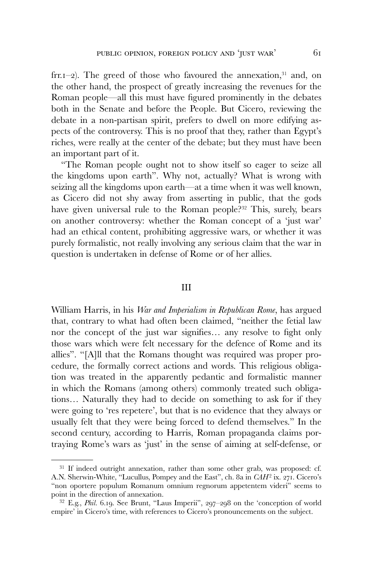frr.  $I-2$ ). The greed of those who favoured the annexation,<sup>31</sup> and, on the other hand, the prospect of greatly increasing the revenues for the Roman people—all this must have figured prominently in the debates both in the Senate and before the People. But Cicero, reviewing the debate in a non-partisan spirit, prefers to dwell on more edifying aspects of the controversy. This is no proof that they, rather than Egypt's riches, were really at the center of the debate; but they must have been an important part of it.

"The Roman people ought not to show itself so eager to seize all the kingdoms upon earth". Why not, actually? What is wrong with seizing all the kingdoms upon earth—at a time when it was well known, as Cicero did not shy away from asserting in public, that the gods have given universal rule to the Roman people?<sup>32</sup> This, surely, bears on another controversy: whether the Roman concept of a 'just war' had an ethical content, prohibiting aggressive wars, or whether it was purely formalistic, not really involving any serious claim that the war in question is undertaken in defense of Rome or of her allies.

## III

William Harris, in his *War and Imperialism in Republican Rome*, has argued that, contrary to what had often been claimed, "neither the fetial law nor the concept of the just war signifies… any resolve to fight only those wars which were felt necessary for the defence of Rome and its allies". "[A]ll that the Romans thought was required was proper procedure, the formally correct actions and words. This religious obligation was treated in the apparently pedantic and formalistic manner in which the Romans (among others) commonly treated such obligations… Naturally they had to decide on something to ask for if they were going to 'res repetere', but that is no evidence that they always or usually felt that they were being forced to defend themselves." In the second century, according to Harris, Roman propaganda claims portraying Rome's wars as 'just' in the sense of aiming at self-defense, or

<sup>&</sup>lt;sup>31</sup> If indeed outright annexation, rather than some other grab, was proposed: cf. A.N. Sherwin-White, "Lucullus, Pompey and the East", ch. 8a in *CAH*<sup>2</sup> ix. 271. Cicero's "non oportere populum Romanum omnium regnorum appetentem videri" seems to point in the direction of annexation.

<sup>32</sup> E.g., *Phil*. 6.19. See Brunt, "Laus Imperii", 297–298 on the 'conception of world empire' in Cicero's time, with references to Cicero's pronouncements on the subject.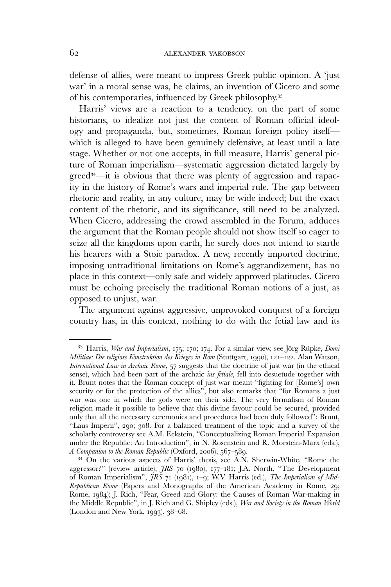defense of allies, were meant to impress Greek public opinion. A 'just war' in a moral sense was, he claims, an invention of Cicero and some of his contemporaries, influenced by Greek philosophy.33

Harris' views are a reaction to a tendency, on the part of some historians, to idealize not just the content of Roman official ideology and propaganda, but, sometimes, Roman foreign policy itself which is alleged to have been genuinely defensive, at least until a late stage. Whether or not one accepts, in full measure, Harris' general picture of Roman imperialism—systematic aggression dictated largely by greed34—it is obvious that there was plenty of aggression and rapacity in the history of Rome's wars and imperial rule. The gap between rhetoric and reality, in any culture, may be wide indeed; but the exact content of the rhetoric, and its significance, still need to be analyzed. When Cicero, addressing the crowd assembled in the Forum, adduces the argument that the Roman people should not show itself so eager to seize all the kingdoms upon earth, he surely does not intend to startle his hearers with a Stoic paradox. A new, recently imported doctrine, imposing untraditional limitations on Rome's aggrandizement, has no place in this context—only safe and widely approved platitudes. Cicero must be echoing precisely the traditional Roman notions of a just, as opposed to unjust, war.

The argument against aggressive, unprovoked conquest of a foreign country has, in this context, nothing to do with the fetial law and its

<sup>33</sup> Harris, *War and Imperialism*, 175; 170; 174. For a similar view, see Jörg Rüpke, *Domi Militiae: Die religiose Konstruktion des Krieges in Rom* (Stuttgart, 1990), 121–122. Alan Watson, *International Law in Archaic Rome*, 57 suggests that the doctrine of just war (in the ethical sense), which had been part of the archaic *ius fetiale*, fell into desuetude together with it. Brunt notes that the Roman concept of just war meant "fighting for [Rome's] own security or for the protection of the allies", but also remarks that "for Romans a just war was one in which the gods were on their side. The very formalism of Roman religion made it possible to believe that this divine favour could be secured, provided only that all the necessary ceremonies and procedures had been duly followed": Brunt, "Laus Imperii", 290; 308. For a balanced treatment of the topic and a survey of the scholarly controversy see A.M. Eckstein, "Conceptualizing Roman Imperial Expansion under the Republic: An Introduction", in N. Rosenstein and R. Morstein-Marx (eds.), *A Companion to the Roman Republic* (Oxford, 2006), 567–589.

<sup>34</sup> On the various aspects of Harris' thesis, see A.N. Sherwin-White, "Rome the aggressor?" (review article), *JRS* 70 (1980), 177–181; J.A. North, "The Development of Roman Imperialism", *JRS* 71 (1981), 1–9; W.V. Harris (ed.), *The Imperialism of Mid-Republican Rome* (Papers and Monographs of the American Academy in Rome, 29; Rome, 1984); J. Rich, "Fear, Greed and Glory: the Causes of Roman War-making in the Middle Republic", in J. Rich and G. Shipley (eds.), *War and Society in the Roman World* (London and New York, 1993), 38–68.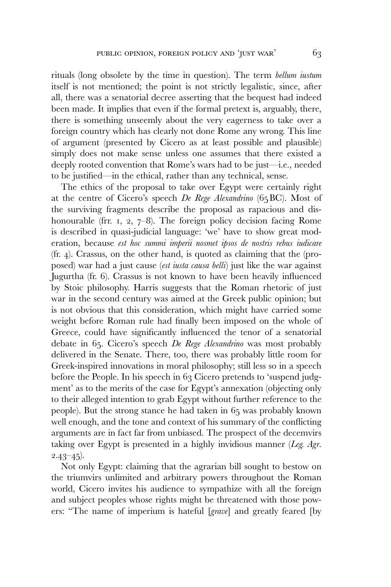rituals (long obsolete by the time in question). The term *bellum iustum* itself is not mentioned; the point is not strictly legalistic, since, after all, there was a senatorial decree asserting that the bequest had indeed been made. It implies that even if the formal pretext is, arguably, there, there is something unseemly about the very eagerness to take over a foreign country which has clearly not done Rome any wrong. This line of argument (presented by Cicero as at least possible and plausible) simply does not make sense unless one assumes that there existed a deeply rooted convention that Rome's wars had to be just—i.e., needed to be justified—in the ethical, rather than any technical, sense.

The ethics of the proposal to take over Egypt were certainly right at the centre of Cicero's speech *De Rege Alexandrino* (65BC). Most of the surviving fragments describe the proposal as rapacious and dishonourable (frr. 1, 2, 7–8). The foreign policy decision facing Rome is described in quasi-judicial language: 'we' have to show great moderation, because *est hoc summi imperii nosmet ipsos de nostris rebus iudicare* (fr. 4). Crassus, on the other hand, is quoted as claiming that the (proposed) war had a just cause (*est iusta causa belli*) just like the war against Jugurtha (fr. 6). Crassus is not known to have been heavily influenced by Stoic philosophy. Harris suggests that the Roman rhetoric of just war in the second century was aimed at the Greek public opinion; but is not obvious that this consideration, which might have carried some weight before Roman rule had finally been imposed on the whole of Greece, could have significantly influenced the tenor of a senatorial debate in 65. Cicero's speech *De Rege Alexandrino* was most probably delivered in the Senate. There, too, there was probably little room for Greek-inspired innovations in moral philosophy; still less so in a speech before the People. In his speech in 63 Cicero pretends to 'suspend judgment' as to the merits of the case for Egypt's annexation (objecting only to their alleged intention to grab Egypt without further reference to the people). But the strong stance he had taken in 65 was probably known well enough, and the tone and context of his summary of the conflicting arguments are in fact far from unbiased. The prospect of the decemvirs taking over Egypt is presented in a highly invidious manner (*Leg. Agr*.  $2.43 - 45$ ).

Not only Egypt: claiming that the agrarian bill sought to bestow on the triumvirs unlimited and arbitrary powers throughout the Roman world, Cicero invites his audience to sympathize with all the foreign and subject peoples whose rights might be threatened with those powers: "The name of imperium is hateful [*grave*] and greatly feared [by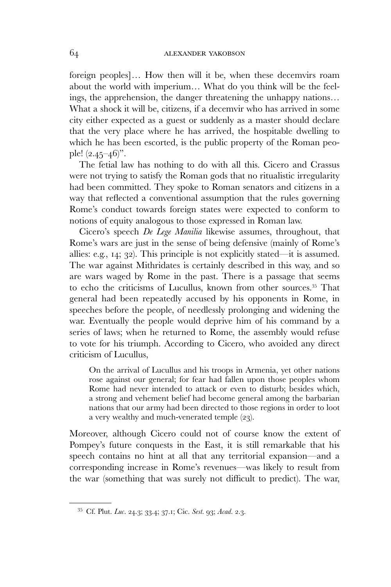foreign peoples]… How then will it be, when these decemvirs roam about the world with imperium… What do you think will be the feelings, the apprehension, the danger threatening the unhappy nations… What a shock it will be, citizens, if a decemvir who has arrived in some city either expected as a guest or suddenly as a master should declare that the very place where he has arrived, the hospitable dwelling to which he has been escorted, is the public property of the Roman people!  $(2.45-46)$ ".

The fetial law has nothing to do with all this. Cicero and Crassus were not trying to satisfy the Roman gods that no ritualistic irregularity had been committed. They spoke to Roman senators and citizens in a way that reflected a conventional assumption that the rules governing Rome's conduct towards foreign states were expected to conform to notions of equity analogous to those expressed in Roman law.

Cicero's speech *De Lege Manilia* likewise assumes, throughout, that Rome's wars are just in the sense of being defensive (mainly of Rome's allies: e.g., 14; 32). This principle is not explicitly stated—it is assumed. The war against Mithridates is certainly described in this way, and so are wars waged by Rome in the past. There is a passage that seems to echo the criticisms of Lucullus, known from other sources.35 That general had been repeatedly accused by his opponents in Rome, in speeches before the people, of needlessly prolonging and widening the war. Eventually the people would deprive him of his command by a series of laws; when he returned to Rome, the assembly would refuse to vote for his triumph. According to Cicero, who avoided any direct criticism of Lucullus,

On the arrival of Lucullus and his troops in Armenia, yet other nations rose against our general; for fear had fallen upon those peoples whom Rome had never intended to attack or even to disturb; besides which, a strong and vehement belief had become general among the barbarian nations that our army had been directed to those regions in order to loot a very wealthy and much-venerated temple (23).

Moreover, although Cicero could not of course know the extent of Pompey's future conquests in the East, it is still remarkable that his speech contains no hint at all that any territorial expansion—and a corresponding increase in Rome's revenues—was likely to result from the war (something that was surely not difficult to predict). The war,

<sup>35</sup> Cf. Plut. *Luc*. 24.3; 33.4; 37.1; Cic. *Sest*. 93; *Acad*. 2.3.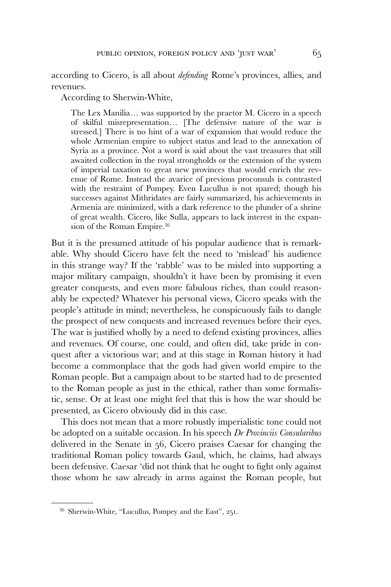according to Cicero, is all about *defending* Rome's provinces, allies, and revenues.

According to Sherwin-White,

The Lex Manilia… was supported by the praetor M. Cicero in a speech of skilful misrepresentation… [The defensive nature of the war is stressed.] There is no hint of a war of expansion that would reduce the whole Armenian empire to subject status and lead to the annexation of Syria as a province. Not a word is said about the vast treasures that still awaited collection in the royal strongholds or the extension of the system of imperial taxation to great new provinces that would enrich the revenue of Rome. Instead the avarice of previous proconsuls is contrasted with the restraint of Pompey. Even Lucullus is not spared; though his successes against Mithridates are fairly summarized, his achievements in Armenia are minimized, with a dark reference to the plunder of a shrine of great wealth. Cicero, like Sulla, appears to lack interest in the expansion of the Roman Empire.<sup>36</sup>

But it is the presumed attitude of his popular audience that is remarkable. Why should Cicero have felt the need to 'mislead' his audience in this strange way? If the 'rabble' was to be misled into supporting a major military campaign, shouldn't it have been by promising it even greater conquests, and even more fabulous riches, than could reasonably be expected? Whatever his personal views, Cicero speaks with the people's attitude in mind; nevertheless, he conspicuously fails to dangle the prospect of new conquests and increased revenues before their eyes. The war is justified wholly by a need to defend existing provinces, allies and revenues. Of course, one could, and often did, take pride in conquest after a victorious war; and at this stage in Roman history it had become a commonplace that the gods had given world empire to the Roman people. But a campaign about to be started had to de presented to the Roman people as just in the ethical, rather than some formalistic, sense. Or at least one might feel that this is how the war should be presented, as Cicero obviously did in this case.

This does not mean that a more robustly imperialistic tone could not be adopted on a suitable occasion. In his speech *De Provinciis Consularibus* delivered in the Senate in 56, Cicero praises Caesar for changing the traditional Roman policy towards Gaul, which, he claims, had always been defensive. Caesar 'did not think that he ought to fight only against those whom he saw already in arms against the Roman people, but

<sup>36</sup> Sherwin-White, "Lucullus, Pompey and the East", 251.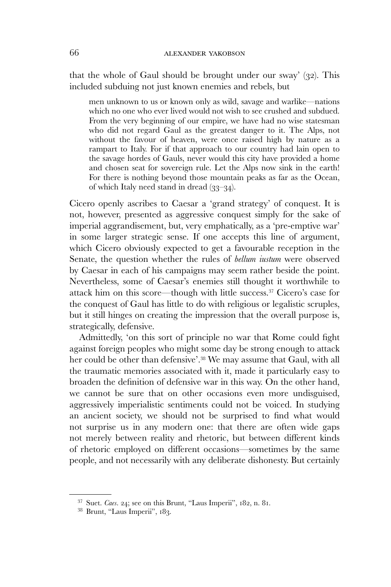that the whole of Gaul should be brought under our sway'  $(32)$ . This included subduing not just known enemies and rebels, but

men unknown to us or known only as wild, savage and warlike—nations which no one who ever lived would not wish to see crushed and subdued. From the very beginning of our empire, we have had no wise statesman who did not regard Gaul as the greatest danger to it. The Alps, not without the favour of heaven, were once raised high by nature as a rampart to Italy. For if that approach to our country had lain open to the savage hordes of Gauls, never would this city have provided a home and chosen seat for sovereign rule. Let the Alps now sink in the earth! For there is nothing beyond those mountain peaks as far as the Ocean, of which Italy need stand in dread (33–34).

Cicero openly ascribes to Caesar a 'grand strategy' of conquest. It is not, however, presented as aggressive conquest simply for the sake of imperial aggrandisement, but, very emphatically, as a 'pre-emptive war' in some larger strategic sense. If one accepts this line of argument, which Cicero obviously expected to get a favourable reception in the Senate, the question whether the rules of *bellum iustum* were observed by Caesar in each of his campaigns may seem rather beside the point. Nevertheless, some of Caesar's enemies still thought it worthwhile to attack him on this score—though with little success.37 Cicero's case for the conquest of Gaul has little to do with religious or legalistic scruples, but it still hinges on creating the impression that the overall purpose is, strategically, defensive.

Admittedly, 'on this sort of principle no war that Rome could fight against foreign peoples who might some day be strong enough to attack her could be other than defensive'.38 We may assume that Gaul, with all the traumatic memories associated with it, made it particularly easy to broaden the definition of defensive war in this way. On the other hand, we cannot be sure that on other occasions even more undisguised, aggressively imperialistic sentiments could not be voiced. In studying an ancient society, we should not be surprised to find what would not surprise us in any modern one: that there are often wide gaps not merely between reality and rhetoric, but between different kinds of rhetoric employed on different occasions—sometimes by the same people, and not necessarily with any deliberate dishonesty. But certainly

<sup>37</sup> Suet. *Caes*. 24; see on this Brunt, "Laus Imperii", 182, n. 81.

<sup>38</sup> Brunt, "Laus Imperii", 183.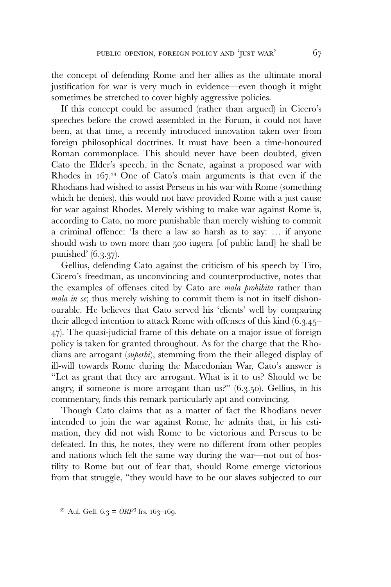the concept of defending Rome and her allies as the ultimate moral justification for war is very much in evidence—even though it might sometimes be stretched to cover highly aggressive policies.

If this concept could be assumed (rather than argued) in Cicero's speeches before the crowd assembled in the Forum, it could not have been, at that time, a recently introduced innovation taken over from foreign philosophical doctrines. It must have been a time-honoured Roman commonplace. This should never have been doubted, given Cato the Elder's speech, in the Senate, against a proposed war with Rhodes in 167. <sup>39</sup> One of Cato's main arguments is that even if the Rhodians had wished to assist Perseus in his war with Rome (something which he denies), this would not have provided Rome with a just cause for war against Rhodes. Merely wishing to make war against Rome is, according to Cato, no more punishable than merely wishing to commit a criminal offence: 'Is there a law so harsh as to say: … if anyone should wish to own more than 500 iugera [of public land] he shall be punished' (6.3.37).

Gellius, defending Cato against the criticism of his speech by Tiro, Cicero's freedman, as unconvincing and counterproductive, notes that the examples of offenses cited by Cato are *mala prohibita* rather than *mala in se*; thus merely wishing to commit them is not in itself dishonourable. He believes that Cato served his 'clients' well by comparing their alleged intention to attack Rome with offenses of this kind (6.3.45– 47). The quasi-judicial frame of this debate on a major issue of foreign policy is taken for granted throughout. As for the charge that the Rhodians are arrogant (*superbi*), stemming from the their alleged display of ill-will towards Rome during the Macedonian War, Cato's answer is "Let as grant that they are arrogant. What is it to us? Should we be angry, if someone is more arrogant than us?"  $(6.3.50)$ . Gellius, in his commentary, finds this remark particularly apt and convincing.

Though Cato claims that as a matter of fact the Rhodians never intended to join the war against Rome, he admits that, in his estimation, they did not wish Rome to be victorious and Perseus to be defeated. In this, he notes, they were no different from other peoples and nations which felt the same way during the war—not out of hostility to Rome but out of fear that, should Rome emerge victorious from that struggle, "they would have to be our slaves subjected to our

<sup>&</sup>lt;sup>39</sup> Aul. Gell.  $6.3 = ORF^3$  frs.  $163-169$ .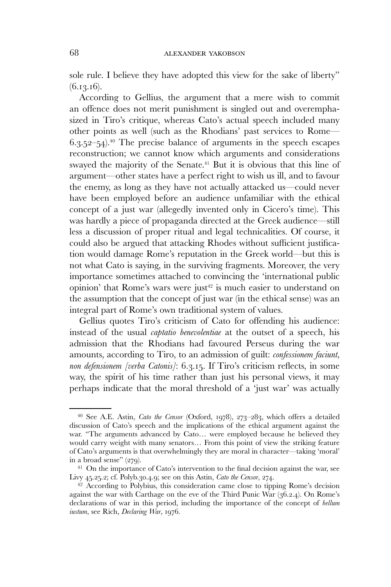sole rule. I believe they have adopted this view for the sake of liberty"  $(6.13.16)$ .

According to Gellius, the argument that a mere wish to commit an offence does not merit punishment is singled out and overemphasized in Tiro's critique, whereas Cato's actual speech included many other points as well (such as the Rhodians' past services to Rome—  $6.3.52-54$ <sup>40</sup>. The precise balance of arguments in the speech escapes reconstruction; we cannot know which arguments and considerations swayed the majority of the Senate.<sup>41</sup> But it is obvious that this line of argument—other states have a perfect right to wish us ill, and to favour the enemy, as long as they have not actually attacked us—could never have been employed before an audience unfamiliar with the ethical concept of a just war (allegedly invented only in Cicero's time). This was hardly a piece of propaganda directed at the Greek audience—still less a discussion of proper ritual and legal technicalities. Of course, it could also be argued that attacking Rhodes without sufficient justification would damage Rome's reputation in the Greek world—but this is not what Cato is saying, in the surviving fragments. Moreover, the very importance sometimes attached to convincing the 'international public opinion' that Rome's wars were just<sup> $42$ </sup> is much easier to understand on the assumption that the concept of just war (in the ethical sense) was an integral part of Rome's own traditional system of values.

Gellius quotes Tiro's criticism of Cato for offending his audience: instead of the usual *captatio benevolentiae* at the outset of a speech, his admission that the Rhodians had favoured Perseus during the war amounts, according to Tiro, to an admission of guilt: *confessionem faciunt, non defensionem [verba Catonis]*: 6.3.15. If Tiro's criticism reflects, in some way, the spirit of his time rather than just his personal views, it may perhaps indicate that the moral threshold of a 'just war' was actually

<sup>40</sup> See A.E. Astin, *Cato the Censor* (Oxford, 1978), 273–283, which offers a detailed discussion of Cato's speech and the implications of the ethical argument against the war. "The arguments advanced by Cato… were employed because he believed they would carry weight with many senators… From this point of view the striking feature of Cato's arguments is that overwhelmingly they are moral in character—taking 'moral' in a broad sense" (279).

<sup>&</sup>lt;sup>41</sup> On the importance of Cato's intervention to the final decision against the war, see Livy 45.25.2; cf. Polyb.30.4.9; see on this Astin, *Cato the Censor*, 274.

<sup>42</sup> According to Polybius, this consideration came close to tipping Rome's decision against the war with Carthage on the eve of the Third Punic War (36.2.4). On Rome's declarations of war in this period, including the importance of the concept of *bellum iustum*, see Rich, *Declaring War*, 1976.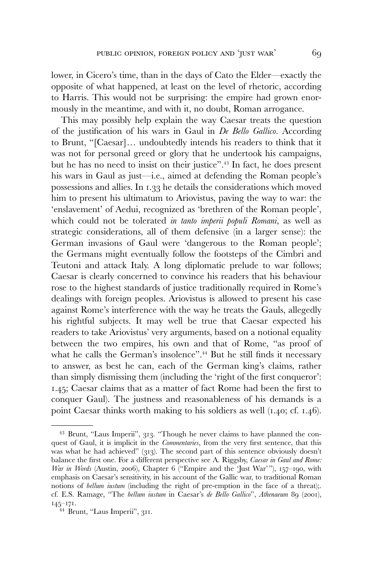lower, in Cicero's time, than in the days of Cato the Elder—exactly the opposite of what happened, at least on the level of rhetoric, according to Harris. This would not be surprising: the empire had grown enormously in the meantime, and with it, no doubt, Roman arrogance.

This may possibly help explain the way Caesar treats the question of the justification of his wars in Gaul in *De Bello Gallico*. According to Brunt, "[Caesar]… undoubtedly intends his readers to think that it was not for personal greed or glory that he undertook his campaigns, but he has no need to insist on their justice".43 In fact, he does present his wars in Gaul as just—i.e., aimed at defending the Roman people's possessions and allies. In 1.33 he details the considerations which moved him to present his ultimatum to Ariovistus, paving the way to war: the 'enslavement' of Aedui, recognized as 'brethren of the Roman people', which could not be tolerated *in tanto imperii populi Romani*, as well as strategic considerations, all of them defensive (in a larger sense): the German invasions of Gaul were 'dangerous to the Roman people'; the Germans might eventually follow the footsteps of the Cimbri and Teutoni and attack Italy. A long diplomatic prelude to war follows; Caesar is clearly concerned to convince his readers that his behaviour rose to the highest standards of justice traditionally required in Rome's dealings with foreign peoples. Ariovistus is allowed to present his case against Rome's interference with the way he treats the Gauls, allegedly his rightful subjects. It may well be true that Caesar expected his readers to take Ariovistus' very arguments, based on a notional equality between the two empires, his own and that of Rome, "as proof of what he calls the German's insolence".<sup>44</sup> But he still finds it necessary to answer, as best he can, each of the German king's claims, rather than simply dismissing them (including the 'right of the first conqueror': 1.45; Caesar claims that as a matter of fact Rome had been the first to conquer Gaul). The justness and reasonableness of his demands is a point Caesar thinks worth making to his soldiers as well (1.40; cf. 1.46).

<sup>43</sup> Brunt, "Laus Imperii", 313. "Though he never claims to have planned the conquest of Gaul, it is implicit in the *Commentaries*, from the very first sentence, that this was what he had achieved" (313). The second part of this sentence obviously doesn't balance the first one. For a different perspective see A. Riggsby, *Caesar in Gaul and Rome: War in Words* (Austin, 2006), Chapter 6 ("Empire and the 'Just War' "), 157–190, with emphasis on Caesar's sensitivity, in his account of the Gallic war, to traditional Roman notions of *bellum iustum* (including the right of pre-emption in the face of a threat);. cf. E.S. Ramage, "The *bellum iustum* in Caesar's *de Bello Gallico*", *Athenaeum* 89 (2001), 145–171.

<sup>44</sup> Brunt, "Laus Imperii", 311.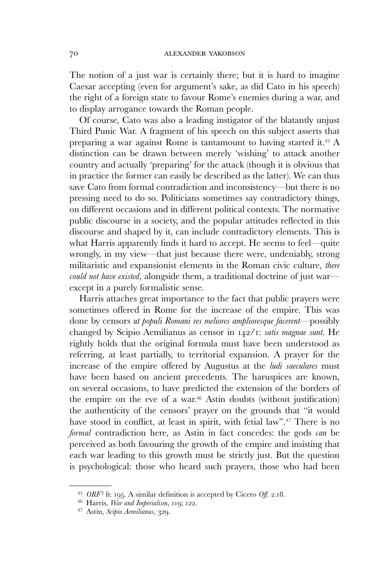The notion of a just war is certainly there; but it is hard to imagine Caesar accepting (even for argument's sake, as did Cato in his speech) the right of a foreign state to favour Rome's enemies during a war, and to display arrogance towards the Roman people.

Of course, Cato was also a leading instigator of the blatantly unjust Third Punic War. A fragment of his speech on this subject asserts that preparing a war against Rome is tantamount to having started it.45 A distinction can be drawn between merely 'wishing' to attack another country and actually 'preparing' for the attack (though it is obvious that in practice the former can easily be described as the latter). We can thus save Cato from formal contradiction and inconsistency—but there is no pressing need to do so. Politicians sometimes say contradictory things, on different occasions and in different political contexts. The normative public discourse in a society, and the popular attitudes reflected in this discourse and shaped by it, can include contradictory elements. This is what Harris apparently finds it hard to accept. He seems to feel—quite wrongly, in my view—that just because there were, undeniably, strong militaristic and expansionist elements in the Roman civic culture, *there could not have existed*, alongside them, a traditional doctrine of just war except in a purely formalistic sense.

Harris attaches great importance to the fact that public prayers were sometimes offered in Rome for the increase of the empire. This was done by censors *ut populi Romani res meliores amplioresque facerent*—possibly changed by Scipio Aemilianus as censor in 142/1: *satis magnae sunt*. He rightly holds that the original formula must have been understood as referring, at least partially, to territorial expansion. A prayer for the increase of the empire offered by Augustus at the *ludi saeculares* must have been based on ancient precedents. The haruspices are known, on several occasions, to have predicted the extension of the borders of the empire on the eve of a war.46 Astin doubts (without justification) the authenticity of the censors' prayer on the grounds that "it would have stood in conflict, at least in spirit, with fetial law".<sup>47</sup> There is no *formal* contradiction here, as Astin in fact concedes: the gods *can* be perceived as both favouring the growth of the empire and insisting that each war leading to this growth must be strictly just. But the question is psychological: those who heard such prayers, those who had been

<sup>45</sup> *ORF*<sup>3</sup> fr. 195. A similar definition is accepted by Cicero *Off*. 2.18.

<sup>46</sup> Harris, *War and Imperialism*, 119; 122.

<sup>47</sup> Astin, *Scipio Aemilianus*, 329.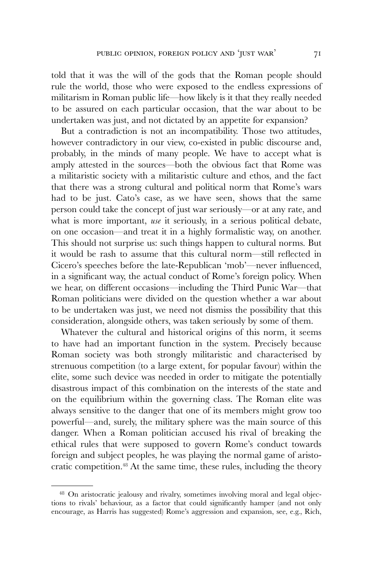told that it was the will of the gods that the Roman people should rule the world, those who were exposed to the endless expressions of militarism in Roman public life—how likely is it that they really needed to be assured on each particular occasion, that the war about to be undertaken was just, and not dictated by an appetite for expansion?

But a contradiction is not an incompatibility. Those two attitudes, however contradictory in our view, co-existed in public discourse and, probably, in the minds of many people. We have to accept what is amply attested in the sources—both the obvious fact that Rome was a militaristic society with a militaristic culture and ethos, and the fact that there was a strong cultural and political norm that Rome's wars had to be just. Cato's case, as we have seen, shows that the same person could take the concept of just war seriously—or at any rate, and what is more important, *use* it seriously, in a serious political debate, on one occasion—and treat it in a highly formalistic way, on another. This should not surprise us: such things happen to cultural norms. But it would be rash to assume that this cultural norm—still reflected in Cicero's speeches before the late-Republican 'mob'—never influenced, in a significant way, the actual conduct of Rome's foreign policy. When we hear, on different occasions—including the Third Punic War—that Roman politicians were divided on the question whether a war about to be undertaken was just, we need not dismiss the possibility that this consideration, alongside others, was taken seriously by some of them.

Whatever the cultural and historical origins of this norm, it seems to have had an important function in the system. Precisely because Roman society was both strongly militaristic and characterised by strenuous competition (to a large extent, for popular favour) within the elite, some such device was needed in order to mitigate the potentially disastrous impact of this combination on the interests of the state and on the equilibrium within the governing class. The Roman elite was always sensitive to the danger that one of its members might grow too powerful—and, surely, the military sphere was the main source of this danger. When a Roman politician accused his rival of breaking the ethical rules that were supposed to govern Rome's conduct towards foreign and subject peoples, he was playing the normal game of aristocratic competition.48 At the same time, these rules, including the theory

<sup>48</sup> On aristocratic jealousy and rivalry, sometimes involving moral and legal objections to rivals' behaviour, as a factor that could significantly hamper (and not only encourage, as Harris has suggested) Rome's aggression and expansion, see, e.g., Rich,